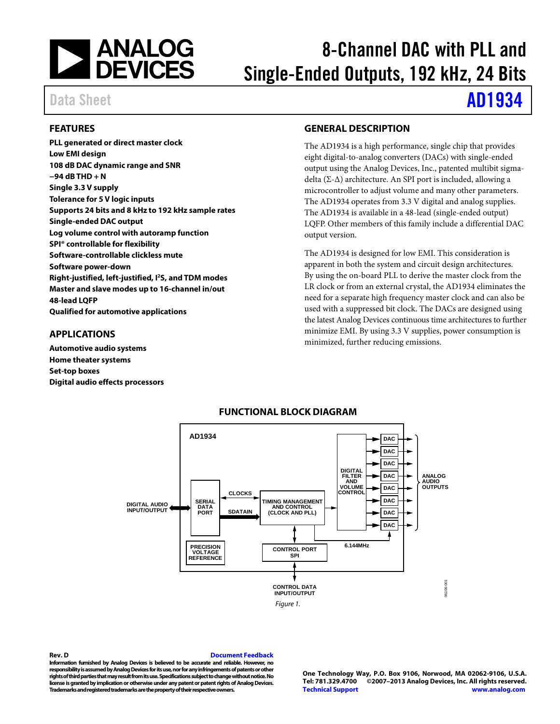

# 8-Channel DAC with PLL and Single-Ended Outputs, 192 kHz, 24 Bits

# Data Sheet **[AD1934](http://www.analog.com/AD1934?src=AD1934.pdf)**

#### <span id="page-0-0"></span>**FEATURES**

**PLL generated or direct master clock Low EMI design 108 dB DAC dynamic range and SNR −94 dB THD + N Single 3.3 V supply Tolerance for 5 V logic inputs Supports 24 bits and 8 kHz to 192 kHz sample rates Single-ended DAC output Log volume control with autoramp function SPI® controllable for flexibility Software-controllable clickless mute Software power-down Right-justified, left-justified, I2S, and TDM modes Master and slave modes up to 16-channel in/out 48-lead LQFP Qualified for automotive applications**

#### <span id="page-0-1"></span>**APPLICATIONS**

<span id="page-0-3"></span>**Automotive audio systems Home theater systems Set-top boxes Digital audio effects processors**

#### <span id="page-0-2"></span>**GENERAL DESCRIPTION**

The AD1934 is a high performance, single chip that provides eight digital-to-analog converters (DACs) with single-ended output using the Analog Devices, Inc., patented multibit sigmadelta (Σ-Δ) architecture. An SPI port is included, allowing a microcontroller to adjust volume and many other parameters. The AD1934 operates from 3.3 V digital and analog supplies. The AD1934 is available in a 48-lead (single-ended output) LQFP. Other members of this family include a differential DAC output version.

The AD1934 is designed for low EMI. This consideration is apparent in both the system and circuit design architectures. By using the on-board PLL to derive the master clock from the LR clock or from an external crystal, the AD1934 eliminates the need for a separate high frequency master clock and can also be used with a suppressed bit clock. The DACs are designed using the latest Analog Devices continuous time architectures to further minimize EMI. By using 3.3 V supplies, power consumption is minimized, further reducing emissions.



#### **FUNCTIONAL BLOCK DIAGRAM**

**Rev. D [Document Feedback](https://form.analog.com/Form_Pages/feedback/documentfeedback.aspx?doc=AD1934.pdf&product=AD1934&rev=D)**

**Information furnished by Analog Devices is believed to be accurate and reliable. However, no responsibility is assumed by Analog Devices for its use, nor for any infringements of patents or other rights of third parties that may result from its use. Specifications subject to change without notice. No license is granted by implication or otherwise under any patent or patent rights of Analog Devices. Trademarks and registered trademarks are the property of their respective owners.**

**One Technology Way, P.O. Box 9106, Norwood, MA 02062-9106, U.S.A. Tel: 781.329.4700 ©2007–2013 Analog Devices, Inc. All rights reserved. [Technical Support](http://www.analog.com/en/content/technical_support_page/fca.html) [www.analog.com](http://www.analog.com/)**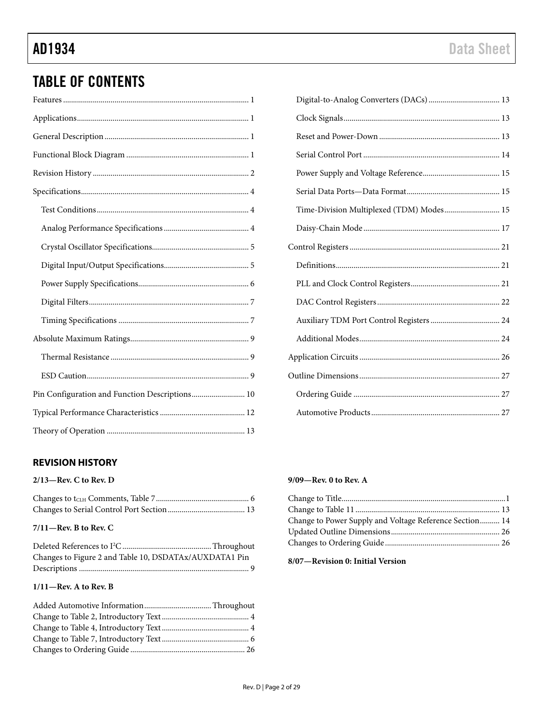## TABLE OF CONTENTS

| Pin Configuration and Function Descriptions 10 |
|------------------------------------------------|
|                                                |
|                                                |

### <span id="page-1-0"></span>**REVISION HISTORY**

#### **2/13—Rev. C to Rev. D**

#### **7/11—Rev. B to Rev. C**

| Changes to Figure 2 and Table 10, DSDATAx/AUXDATA1 Pin |  |
|--------------------------------------------------------|--|
|                                                        |  |

#### **1/11—Rev. A to Rev. B**

| Time-Division Multiplexed (TDM) Modes 15 |  |
|------------------------------------------|--|
|                                          |  |
|                                          |  |
|                                          |  |
|                                          |  |
|                                          |  |
|                                          |  |
|                                          |  |
|                                          |  |
|                                          |  |
|                                          |  |
|                                          |  |

#### **9/09—Rev. 0 to Rev. A**

| Change to Power Supply and Voltage Reference Section 14 |  |
|---------------------------------------------------------|--|
|                                                         |  |
|                                                         |  |
|                                                         |  |

#### **8/07—Revision 0: Initial Version**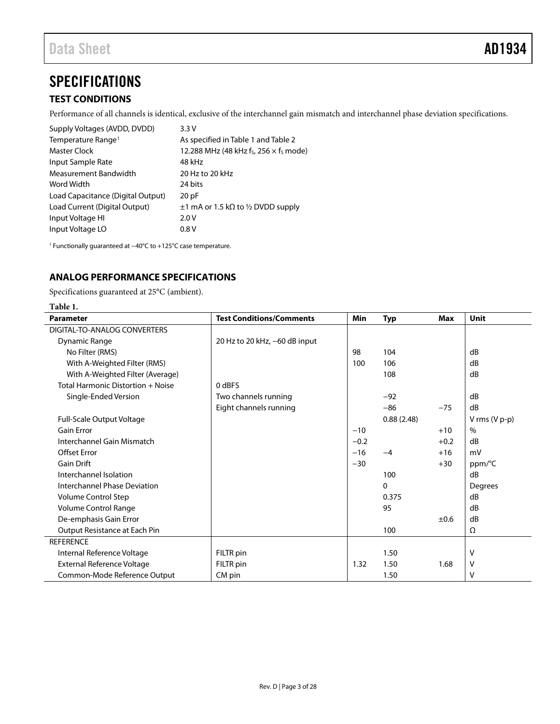## <span id="page-2-4"></span><span id="page-2-0"></span>**SPECIFICATIONS**

#### <span id="page-2-1"></span>**TEST CONDITIONS**

Performance of all channels is identical, exclusive of the interchannel gain mismatch and interchannel phase deviation specifications.

| Supply Voltages (AVDD, DVDD)      | 3.3V                                          |
|-----------------------------------|-----------------------------------------------|
| Temperature Range <sup>1</sup>    | As specified in Table 1 and Table 2           |
| Master Clock                      | 12.288 MHz (48 kHz fs, 256 $\times$ fs mode)  |
| Input Sample Rate                 | 48 kHz                                        |
| Measurement Bandwidth             | 20 Hz to 20 kHz                               |
| Word Width                        | 24 bits                                       |
| Load Capacitance (Digital Output) | 20pF                                          |
| Load Current (Digital Output)     | $\pm 1$ mA or 1.5 k $\Omega$ to ½ DVDD supply |
| Input Voltage HI                  | 2.0V                                          |
| Input Voltage LO                  | 0.8V                                          |

<sup>1</sup> Functionally guaranteed at −40°C to +125°C case temperature.

#### <span id="page-2-2"></span>**ANALOG PERFORMANCE SPECIFICATIONS**

Specifications guaranteed at 25°C (ambient).

<span id="page-2-3"></span>

| Table 1.                            |                                 |            |            |        |                 |
|-------------------------------------|---------------------------------|------------|------------|--------|-----------------|
| <b>Parameter</b>                    | <b>Test Conditions/Comments</b> | <b>Min</b> | <b>Typ</b> | Max    | <b>Unit</b>     |
| DIGITAL-TO-ANALOG CONVERTERS        |                                 |            |            |        |                 |
| Dynamic Range                       | 20 Hz to 20 kHz, -60 dB input   |            |            |        |                 |
| No Filter (RMS)                     |                                 | 98         | 104        |        | dB              |
| With A-Weighted Filter (RMS)        |                                 | 100        | 106        |        | dB              |
| With A-Weighted Filter (Average)    |                                 |            | 108        |        | dB              |
| Total Harmonic Distortion + Noise   | 0 dBFS                          |            |            |        |                 |
| Single-Ended Version                | Two channels running            |            | $-92$      |        | dB              |
|                                     | Eight channels running          |            | $-86$      | $-75$  | dB              |
| Full-Scale Output Voltage           |                                 |            | 0.88(2.48) |        | V rms $(V p-p)$ |
| <b>Gain Error</b>                   |                                 | $-10$      |            | $+10$  | $\%$            |
| Interchannel Gain Mismatch          |                                 | $-0.2$     |            | $+0.2$ | dB              |
| <b>Offset Error</b>                 |                                 | $-16$      | $-4$       | $+16$  | mV              |
| <b>Gain Drift</b>                   |                                 | $-30$      |            | $+30$  | ppm/°C          |
| Interchannel Isolation              |                                 |            | 100        |        | dB              |
| <b>Interchannel Phase Deviation</b> |                                 |            | 0          |        | Degrees         |
| Volume Control Step                 |                                 |            | 0.375      |        | dB              |
| Volume Control Range                |                                 |            | 95         |        | dB              |
| De-emphasis Gain Error              |                                 |            |            | ±0.6   | dB              |
| Output Resistance at Each Pin       |                                 |            | 100        |        | Ω               |
| <b>REFERENCE</b>                    |                                 |            |            |        |                 |
| Internal Reference Voltage          | FILTR pin                       |            | 1.50       |        | v               |
| External Reference Voltage          | FILTR pin                       | 1.32       | 1.50       | 1.68   | V               |
| Common-Mode Reference Output        | CM pin                          |            | 1.50       |        | v               |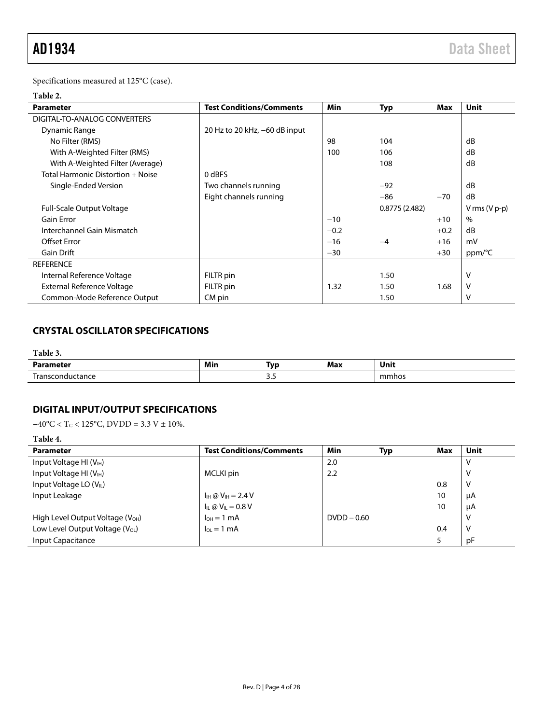Specifications measured at 125°C (case).

#### <span id="page-3-2"></span>**Table 2.**

| <b>Parameter</b>                  | <b>Test Conditions/Comments</b> | Min    | <b>Typ</b>    | Max    | Unit            |
|-----------------------------------|---------------------------------|--------|---------------|--------|-----------------|
| DIGITAL-TO-ANALOG CONVERTERS      |                                 |        |               |        |                 |
| Dynamic Range                     | 20 Hz to 20 kHz, -60 dB input   |        |               |        |                 |
| No Filter (RMS)                   |                                 | 98     | 104           |        | dB              |
| With A-Weighted Filter (RMS)      |                                 | 100    | 106           |        | dB              |
| With A-Weighted Filter (Average)  |                                 |        | 108           |        | dB              |
| Total Harmonic Distortion + Noise | 0 dBFS                          |        |               |        |                 |
| Single-Ended Version              | Two channels running            |        | $-92$         |        | dB              |
|                                   | Eight channels running          |        | $-86$         | $-70$  | dB              |
| <b>Full-Scale Output Voltage</b>  |                                 |        | 0.8775(2.482) |        | V rms $(V p-p)$ |
| Gain Error                        |                                 | $-10$  |               | $+10$  | $\%$            |
| Interchannel Gain Mismatch        |                                 | $-0.2$ |               | $+0.2$ | dB              |
| Offset Error                      |                                 | $-16$  | $-4$          | $+16$  | mV              |
| <b>Gain Drift</b>                 |                                 | $-30$  |               | $+30$  | ppm/°C          |
| <b>REFERENCE</b>                  |                                 |        |               |        |                 |
| Internal Reference Voltage        | FILTR pin                       |        | 1.50          |        | V               |
| External Reference Voltage        | FILTR pin                       | 1.32   | 1.50          | 1.68   | v               |
| Common-Mode Reference Output      | CM pin                          |        | 1.50          |        | ν               |

### <span id="page-3-0"></span>**CRYSTAL OSCILLATOR SPECIFICATIONS**

#### **Table 3.**

| . .<br>.<br>.                          | Min | Tvp | Max | Unit  |
|----------------------------------------|-----|-----|-----|-------|
| $\overline{\phantom{0}}$<br>$-$<br>íd. |     |     |     | mmhos |

#### <span id="page-3-1"></span>**DIGITAL INPUT/OUTPUT SPECIFICATIONS**

 $-40\text{°C} < T_{\text{C}} < 125\text{°C}$ , DVDD = 3.3 V ± 10%.

#### **Table 4.**

| <b>Parameter</b>                             | <b>Test Conditions/Comments</b>         | Min            | <b>Max</b><br>Typ | Unit |
|----------------------------------------------|-----------------------------------------|----------------|-------------------|------|
| Input Voltage HI $(VIH)$                     |                                         | 2.0            |                   |      |
| Input Voltage HI (V <sub>IH</sub> )          | MCLKI pin                               | 2.2            |                   | ٧    |
| Input Voltage LO (V <sub>IL</sub> )          |                                         |                | 0.8               | ν    |
| Input Leakage                                | $I_{\text{IH}} @ V_{\text{IH}} = 2.4 V$ |                | 10                | μA   |
|                                              | $I_{IL}$ @ $V_{IL}$ = 0.8 V             |                | 10                | μA   |
| High Level Output Voltage (V <sub>OH</sub> ) | $I_{OH} = 1$ mA                         | $D VDD - 0.60$ |                   | v    |
| Low Level Output Voltage (V <sub>OL</sub> )  | $I_{OL} = 1$ mA                         |                | 0.4               | v    |
| Input Capacitance                            |                                         |                |                   | рF   |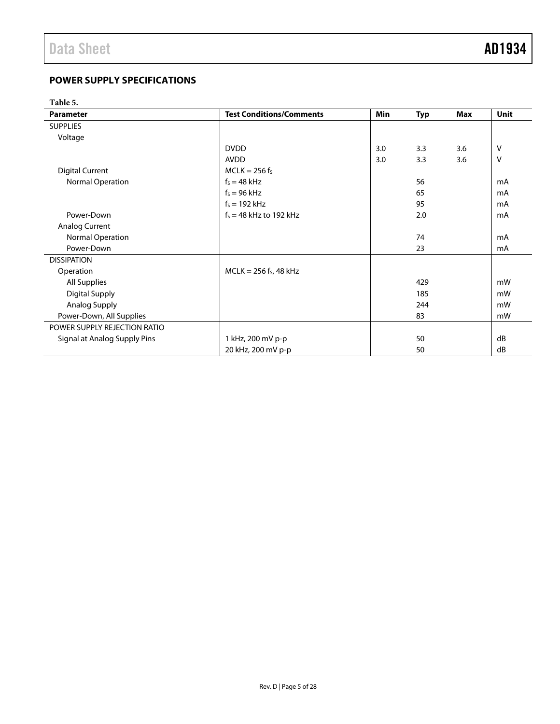#### <span id="page-4-0"></span>**POWER SUPPLY SPECIFICATIONS**

**Table 5.** 

| <b>Parameter</b>             | <b>Test Conditions/Comments</b> | <b>Min</b> | <b>Typ</b> | <b>Max</b> | Unit |
|------------------------------|---------------------------------|------------|------------|------------|------|
| <b>SUPPLIES</b>              |                                 |            |            |            |      |
| Voltage                      |                                 |            |            |            |      |
|                              | <b>DVDD</b>                     | 3.0        | 3.3        | 3.6        | V    |
|                              | <b>AVDD</b>                     | 3.0        | 3.3        | 3.6        | v    |
| <b>Digital Current</b>       | $MCLK = 256$ fs                 |            |            |            |      |
| Normal Operation             | $f_s = 48$ kHz                  |            | 56         |            | mA   |
|                              | $f_s = 96$ kHz                  |            | 65         |            | mA   |
|                              | $f_s = 192$ kHz                 |            | 95         |            | mA   |
| Power-Down                   | $f_s = 48$ kHz to 192 kHz       |            | 2.0        |            | mA   |
| <b>Analog Current</b>        |                                 |            |            |            |      |
| Normal Operation             |                                 |            | 74         |            | mA   |
| Power-Down                   |                                 |            | 23         |            | mA   |
| <b>DISSIPATION</b>           |                                 |            |            |            |      |
| Operation                    | $MCLK = 256$ fs, 48 kHz         |            |            |            |      |
| All Supplies                 |                                 |            | 429        |            | mW   |
| <b>Digital Supply</b>        |                                 |            | 185        |            | mW   |
| Analog Supply                |                                 |            | 244        |            | mW   |
| Power-Down, All Supplies     |                                 |            | 83         |            | mW   |
| POWER SUPPLY REJECTION RATIO |                                 |            |            |            |      |
| Signal at Analog Supply Pins | 1 kHz, 200 mV p-p               |            | 50         |            | dB   |
|                              | 20 kHz, 200 mV p-p              |            | 50         |            | dB   |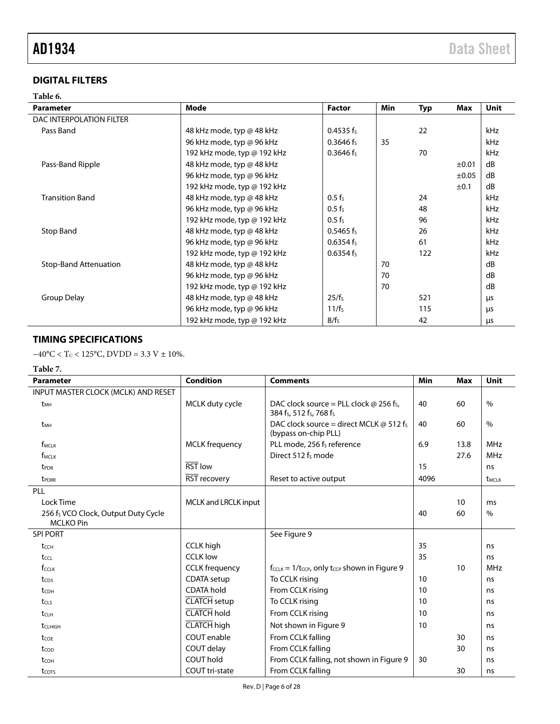#### <span id="page-5-0"></span>**DIGITAL FILTERS**

# **Table 6.**

| <b>Parameter</b>             | Mode                        | <b>Factor</b>         | <b>Min</b> | <b>Typ</b> | Max   | Unit |
|------------------------------|-----------------------------|-----------------------|------------|------------|-------|------|
| DAC INTERPOLATION FILTER     |                             |                       |            |            |       |      |
| Pass Band                    | 48 kHz mode, typ @ 48 kHz   | 0.4535 f <sub>s</sub> |            | 22         |       | kHz  |
|                              | 96 kHz mode, typ @ 96 kHz   | $0.3646 f_s$          | 35         |            |       | kHz  |
|                              | 192 kHz mode, typ @ 192 kHz | $0.3646$ fs           |            | 70         |       | kHz  |
| Pass-Band Ripple             | 48 kHz mode, typ @ 48 kHz   |                       |            |            | ±0.01 | dB   |
|                              | 96 kHz mode, typ @ 96 kHz   |                       |            |            | ±0.05 | dB   |
|                              | 192 kHz mode, typ @ 192 kHz |                       |            |            | ±0.1  | dB   |
| <b>Transition Band</b>       | 48 kHz mode, typ @ 48 kHz   | $0.5 f_s$             |            | 24         |       | kHz  |
|                              | 96 kHz mode, typ @ 96 kHz   | $0.5 f_s$             |            | 48         |       | kHz  |
|                              | 192 kHz mode, typ @ 192 kHz | $0.5 f_s$             |            | 96         |       | kHz  |
| Stop Band                    | 48 kHz mode, typ @ 48 kHz   | $0.5465$ fs           |            | 26         |       | kHz  |
|                              | 96 kHz mode, typ @ 96 kHz   | 0.6354 f <sub>s</sub> |            | 61         |       | kHz  |
|                              | 192 kHz mode, typ @ 192 kHz | $0.6354$ fs           |            | 122        |       | kHz  |
| <b>Stop-Band Attenuation</b> | 48 kHz mode, typ @ 48 kHz   |                       | 70         |            |       | dB   |
|                              | 96 kHz mode, typ @ 96 kHz   |                       | 70         |            |       | dB   |
|                              | 192 kHz mode, typ @ 192 kHz |                       | 70         |            |       | dB   |
| Group Delay                  | 48 kHz mode, typ @ 48 kHz   | 25/f <sub>s</sub>     |            | 521        |       | μs   |
|                              | 96 kHz mode, typ @ 96 kHz   | $11/f_s$              |            | 115        |       | μs   |
|                              | 192 kHz mode, typ @ 192 kHz | 8/f <sub>s</sub>      |            | 42         |       | μs   |

#### <span id="page-5-1"></span>**TIMING SPECIFICATIONS**

 $-40\text{°C} < T_{\text{C}} < 125\text{°C}$ , DVDD = 3.3 V ± 10%.

#### **Table 7.**

| <b>Parameter</b>                                | <b>Condition</b>            | <b>Comments</b>                                                                                               | Min  | <b>Max</b> | Unit                     |
|-------------------------------------------------|-----------------------------|---------------------------------------------------------------------------------------------------------------|------|------------|--------------------------|
| INPUT MASTER CLOCK (MCLK) AND RESET             |                             |                                                                                                               |      |            |                          |
| t <sub>MH</sub>                                 | MCLK duty cycle             | DAC clock source = PLL clock $\omega$ 256 fs,<br>384 f <sub>s</sub> , 512 f <sub>s</sub> , 768 f <sub>s</sub> | 40   | 60         | $\frac{0}{0}$            |
| t <sub>MH</sub>                                 |                             | DAC clock source = direct MCLK $\omega$ 512 fs<br>(bypass on-chip PLL)                                        | 40   | 60         | $\%$                     |
| f <sub>MCLK</sub>                               | <b>MCLK</b> frequency       | PLL mode, 256 fs reference                                                                                    | 6.9  | 13.8       | <b>MHz</b>               |
| $f_{MCLK}$                                      |                             | Direct 512 f <sub>s</sub> mode                                                                                |      | 27.6       | <b>MHz</b>               |
| t <sub>PDR</sub>                                | <b>RST</b> low              |                                                                                                               | 15   |            | ns                       |
| t <sub>PDRR</sub>                               | RST recovery                | Reset to active output                                                                                        | 4096 |            | <b>t</b> <sub>MCLK</sub> |
| PLL                                             |                             |                                                                                                               |      |            |                          |
| Lock Time                                       | <b>MCLK and LRCLK input</b> |                                                                                                               |      | 10         | ms                       |
| 256 f <sub>s</sub> VCO Clock, Output Duty Cycle |                             |                                                                                                               | 40   | 60         | $\%$                     |
| <b>MCLKO Pin</b>                                |                             |                                                                                                               |      |            |                          |
| <b>SPI PORT</b>                                 |                             | See Figure 9                                                                                                  |      |            |                          |
| tcch                                            | <b>CCLK</b> high            |                                                                                                               | 35   |            | ns                       |
| tccL                                            | <b>CCLK</b> low             |                                                                                                               | 35   |            | ns                       |
| fcclk                                           | <b>CCLK</b> frequency       | $f_{CCLK} = 1/t_{CCP}$ , only t <sub>CCP</sub> shown in Figure 9                                              |      | 10         | <b>MHz</b>               |
| tcps                                            | <b>CDATA</b> setup          | To CCLK rising                                                                                                | 10   |            | ns                       |
| tc <sub>DH</sub>                                | <b>CDATA hold</b>           | From CCLK rising                                                                                              | 10   |            | ns                       |
| t <sub>CLS</sub>                                | <b>CLATCH</b> setup         | To CCLK rising                                                                                                | 10   |            | ns                       |
| t <sub>CLH</sub>                                | <b>CLATCH</b> hold          | From CCLK rising                                                                                              | 10   |            | ns                       |
| t <sub>CLHIGH</sub>                             | <b>CLATCH</b> high          | Not shown in Figure 9                                                                                         | 10   |            | ns                       |
| tcor                                            | COUT enable                 | From CCLK falling                                                                                             |      | 30         | ns                       |
| tcop                                            | COUT delay                  | From CCLK falling                                                                                             |      | 30         | ns                       |
| t <sub>COH</sub>                                | COUT hold                   | From CCLK falling, not shown in Figure 9                                                                      | 30   |            | ns                       |
| tcors                                           | COUT tri-state              | From CCLK falling                                                                                             |      | 30         | ns                       |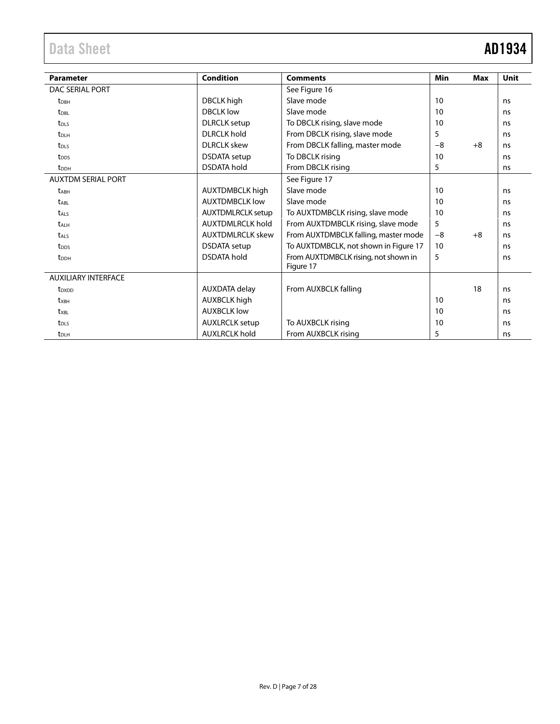# Data Sheet **AD1934**

| <b>Parameter</b>           | <b>Condition</b>         | <b>Comments</b>                       | <b>Min</b> | <b>Max</b> | <b>Unit</b> |
|----------------------------|--------------------------|---------------------------------------|------------|------------|-------------|
| DAC SERIAL PORT            |                          | See Figure 16                         |            |            |             |
| t <sub>DBH</sub>           | DBCLK high               | Slave mode                            | 10         |            | ns          |
| <b>t</b> <sub>DBL</sub>    | <b>DBCLK</b> low         | Slave mode                            | 10         |            | ns          |
| t <sub>DLS</sub>           | <b>DLRCLK</b> setup      | To DBCLK rising, slave mode           | 10         |            | ns          |
| t <sub>DLH</sub>           | <b>DLRCLK</b> hold       | From DBCLK rising, slave mode         | 5          |            | ns          |
| t <sub>DLS</sub>           | <b>DLRCLK</b> skew       | From DBCLK falling, master mode       | $-8$       | $+8$       | ns          |
| t <sub>DDS</sub>           | <b>DSDATA</b> setup      | To DBCLK rising                       | 10         |            | ns          |
| t <sub>DDH</sub>           | <b>DSDATA hold</b>       | From DBCLK rising                     | 5          |            | ns          |
| <b>AUXTOM SERIAL PORT</b>  |                          | See Figure 17                         |            |            |             |
| <b>t</b> <sub>ABH</sub>    | <b>AUXTDMBCLK high</b>   | Slave mode                            | 10         |            | ns          |
| <b>t</b> <sub>ABL</sub>    | <b>AUXTDMBCLK low</b>    | Slave mode                            | 10         |            | ns          |
| t <sub>ALS</sub>           | <b>AUXTDMLRCLK setup</b> | To AUXTDMBCLK rising, slave mode      | 10         |            | ns          |
| <b>t</b> <sub>ALH</sub>    | <b>AUXTDMLRCLK hold</b>  | From AUXTDMBCLK rising, slave mode    | 5          |            | ns          |
| <b>t</b> <sub>ALS</sub>    | <b>AUXTDMLRCLK skew</b>  | From AUXTDMBCLK falling, master mode  | $-8$       | $+8$       | ns          |
| t <sub>DDS</sub>           | <b>DSDATA</b> setup      | To AUXTDMBCLK, not shown in Figure 17 | 10         |            | ns          |
| t <sub>DDH</sub>           | <b>DSDATA</b> hold       | From AUXTDMBCLK rising, not shown in  | 5          |            | ns          |
| <b>AUXILIARY INTERFACE</b> |                          | Figure 17                             |            |            |             |
|                            |                          |                                       |            |            |             |
| t <sub>DXDD</sub>          | AUXDATA delay            | From AUXBCLK falling                  |            | 18         | ns          |
| txBH                       | <b>AUXBCLK</b> high      |                                       | 10         |            | ns          |
| t <sub>XBL</sub>           | <b>AUXBCLK low</b>       |                                       | 10         |            | ns          |
| t <sub>DLS</sub>           | <b>AUXLRCLK</b> setup    | To AUXBCLK rising                     | 10         |            | ns          |
| $t_{\text{DLH}}$           | <b>AUXLRCLK hold</b>     | From AUXBCLK rising                   | 5          |            | ns          |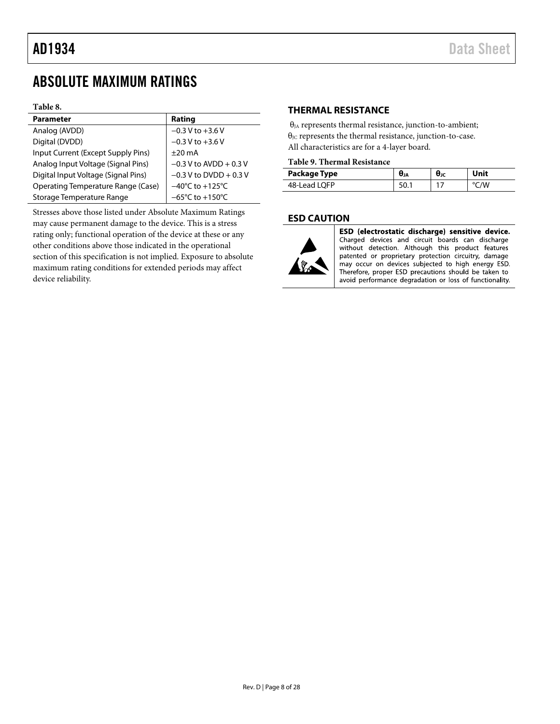## <span id="page-7-0"></span>ABSOLUTE MAXIMUM RATINGS

#### **Table 8.**

| <b>Parameter</b>                    | Rating                               |
|-------------------------------------|--------------------------------------|
| Analog (AVDD)                       | $-0.3 V$ to $+3.6 V$                 |
| Digital (DVDD)                      | $-0.3$ V to $+3.6$ V                 |
| Input Current (Except Supply Pins)  | $+20 \text{ mA}$                     |
| Analog Input Voltage (Signal Pins)  | $-0.3$ V to AVDD + 0.3 V             |
| Digital Input Voltage (Signal Pins) | $-0.3$ V to DVDD + 0.3 V             |
| Operating Temperature Range (Case)  | $-40^{\circ}$ C to $+125^{\circ}$ C  |
| Storage Temperature Range           | $-65^{\circ}$ C to +150 $^{\circ}$ C |

Stresses above those listed under Absolute Maximum Ratings may cause permanent damage to the device. This is a stress rating only; functional operation of the device at these or any other conditions above those indicated in the operational section of this specification is not implied. Exposure to absolute maximum rating conditions for extended periods may affect device reliability.

#### <span id="page-7-1"></span>**THERMAL RESISTANCE**

 $\theta_{JA}$  represents thermal resistance, junction-to-ambient; θ<sub>JC</sub> represents the thermal resistance, junction-to-case. All characteristics are for a 4-layer board.

#### **Table 9. Thermal Resistance**

| Package Type | UJA | UJC | Unit |
|--------------|-----|-----|------|
| 48-Lead LOFP |     |     | 'W   |

#### <span id="page-7-2"></span>**ESD CAUTION**



ESD (electrostatic discharge) sensitive device. Charged devices and circuit boards can discharge without detection. Although this product features patented or proprietary protection circuitry, damage may occur on devices subjected to high energy ESD. Therefore, proper ESD precautions should be taken to avoid performance degradation or loss of functionality.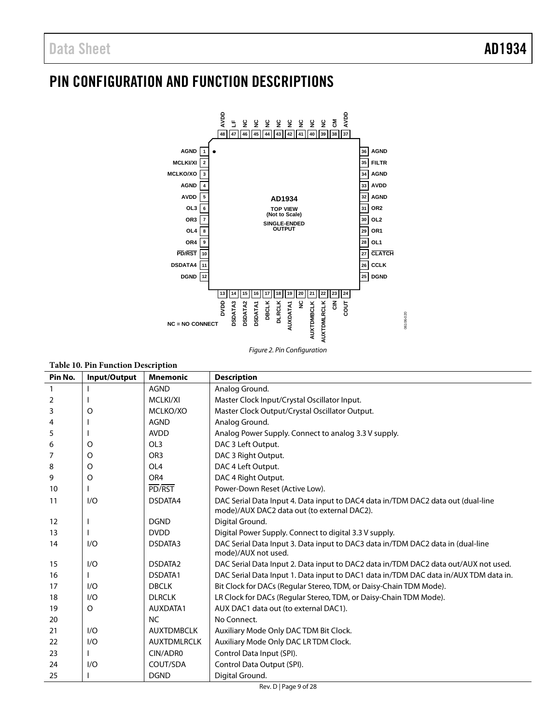# <span id="page-8-0"></span>PIN CONFIGURATION AND FUNCTION DESCRIPTIONS



| Figure 2. Pin Configuration |  |  |
|-----------------------------|--|--|
|                             |  |  |

| <b>Table 10. Pin Function Description</b> |  |
|-------------------------------------------|--|
|                                           |  |

| Pin No.           | Input/Output | <b>Mnemonic</b>    | <b>Description</b>                                                                                                              |
|-------------------|--------------|--------------------|---------------------------------------------------------------------------------------------------------------------------------|
| $\mathbf{1}$      |              | <b>AGND</b>        | Analog Ground.                                                                                                                  |
| 2                 |              | MCLKI/XI           | Master Clock Input/Crystal Oscillator Input.                                                                                    |
| 3                 | O            | MCLKO/XO           | Master Clock Output/Crystal Oscillator Output.                                                                                  |
| 4                 |              | <b>AGND</b>        | Analog Ground.                                                                                                                  |
| 5                 |              | <b>AVDD</b>        | Analog Power Supply. Connect to analog 3.3 V supply.                                                                            |
| 6                 | O            | OL3                | DAC 3 Left Output.                                                                                                              |
| 7                 | O            | OR <sub>3</sub>    | DAC 3 Right Output.                                                                                                             |
| 8                 | O            | OL <sub>4</sub>    | DAC 4 Left Output.                                                                                                              |
| 9                 | O            | OR <sub>4</sub>    | DAC 4 Right Output.                                                                                                             |
| 10                |              | PD/RST             | Power-Down Reset (Active Low).                                                                                                  |
| 11                | 1/O          | DSDATA4            | DAC Serial Data Input 4. Data input to DAC4 data in/TDM DAC2 data out (dual-line<br>mode)/AUX DAC2 data out (to external DAC2). |
| $12 \overline{ }$ |              | <b>DGND</b>        | Digital Ground.                                                                                                                 |
| 13                |              | <b>DVDD</b>        | Digital Power Supply. Connect to digital 3.3 V supply.                                                                          |
| 14                | 1/O          | DSDATA3            | DAC Serial Data Input 3. Data input to DAC3 data in/TDM DAC2 data in (dual-line<br>mode)/AUX not used.                          |
| 15                | 1/O          | DSDATA2            | DAC Serial Data Input 2. Data input to DAC2 data in/TDM DAC2 data out/AUX not used.                                             |
| 16                |              | DSDATA1            | DAC Serial Data Input 1. Data input to DAC1 data in/TDM DAC data in/AUX TDM data in.                                            |
| 17                | 1/O          | <b>DBCLK</b>       | Bit Clock for DACs (Regular Stereo, TDM, or Daisy-Chain TDM Mode).                                                              |
| 18                | 1/O          | <b>DLRCLK</b>      | LR Clock for DACs (Regular Stereo, TDM, or Daisy-Chain TDM Mode).                                                               |
| 19                | O            | AUXDATA1           | AUX DAC1 data out (to external DAC1).                                                                                           |
| 20                |              | <b>NC</b>          | No Connect.                                                                                                                     |
| 21                | 1/O          | <b>AUXTDMBCLK</b>  | Auxiliary Mode Only DAC TDM Bit Clock.                                                                                          |
| 22                | 1/O          | <b>AUXTDMLRCLK</b> | Auxiliary Mode Only DAC LR TDM Clock.                                                                                           |
| 23                |              | CIN/ADR0           | Control Data Input (SPI).                                                                                                       |
| 24                | 1/O          | COUT/SDA           | Control Data Output (SPI).                                                                                                      |
| 25                |              | <b>DGND</b>        | Digital Ground.                                                                                                                 |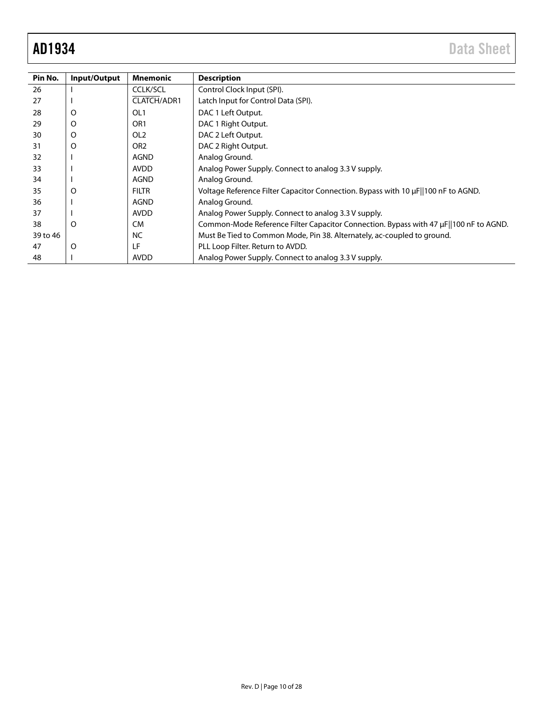| Pin No.  | Input/Output | <b>Mnemonic</b> | <b>Description</b>                                                                    |
|----------|--------------|-----------------|---------------------------------------------------------------------------------------|
| 26       |              | <b>CCLK/SCL</b> | Control Clock Input (SPI).                                                            |
| 27       |              | CLATCH/ADR1     | Latch Input for Control Data (SPI).                                                   |
| 28       | O            | OL <sub>1</sub> | DAC 1 Left Output.                                                                    |
| 29       | O            | OR <sub>1</sub> | DAC 1 Right Output.                                                                   |
| 30       | O            | OL <sub>2</sub> | DAC 2 Left Output.                                                                    |
| 31       | O            | OR <sub>2</sub> | DAC 2 Right Output.                                                                   |
| 32       |              | <b>AGND</b>     | Analog Ground.                                                                        |
| 33       |              | <b>AVDD</b>     | Analog Power Supply. Connect to analog 3.3 V supply.                                  |
| 34       |              | AGND            | Analog Ground.                                                                        |
| 35       | O            | <b>FILTR</b>    | Voltage Reference Filter Capacitor Connection. Bypass with 10 µF  100 nF to AGND.     |
| 36       |              | <b>AGND</b>     | Analog Ground.                                                                        |
| 37       |              | <b>AVDD</b>     | Analog Power Supply. Connect to analog 3.3 V supply.                                  |
| 38       | O            | <b>CM</b>       | Common-Mode Reference Filter Capacitor Connection. Bypass with 47 µF  100 nF to AGND. |
| 39 to 46 |              | <b>NC</b>       | Must Be Tied to Common Mode, Pin 38. Alternately, ac-coupled to ground.               |
| 47       | O            | LF              | PLL Loop Filter. Return to AVDD.                                                      |
| 48       |              | AVDD            | Analog Power Supply. Connect to analog 3.3 V supply.                                  |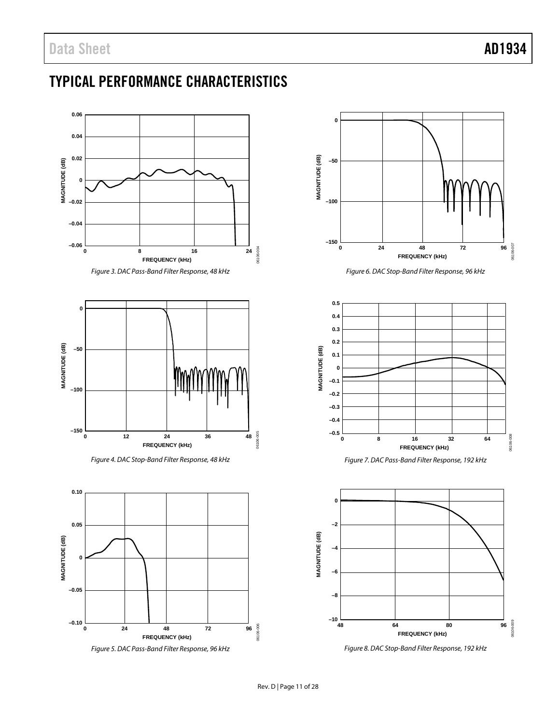# <span id="page-10-0"></span>TYPICAL PERFORMANCE CHARACTERISTICS





*Figure 6. DAC Stop-Band Filter Response, 96 kHz*



*Figure 7. DAC Pass-Band Filter Response, 192 kHz*



*Figure 8. DAC Stop-Band Filter Response, 192 kHz*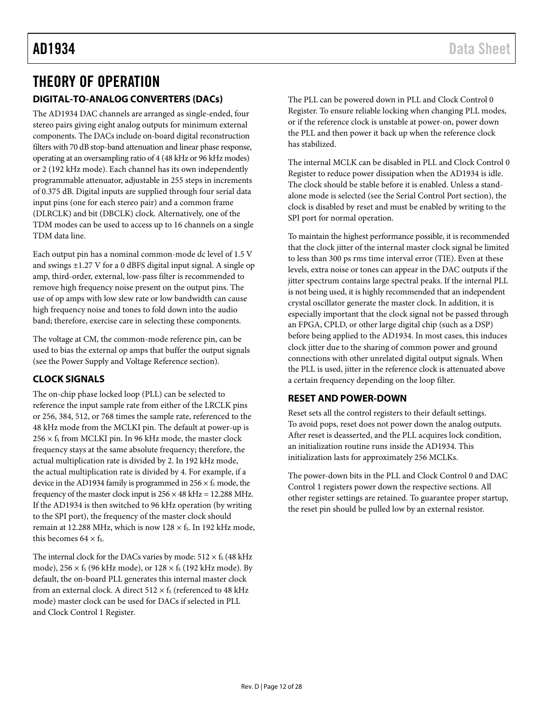### <span id="page-11-1"></span><span id="page-11-0"></span>THEORY OF OPERATION **DIGITAL-TO-ANALOG CONVERTERS (DACs)**

The AD1934 DAC channels are arranged as single-ended, four stereo pairs giving eight analog outputs for minimum external components. The DACs include on-board digital reconstruction filters with 70 dB stop-band attenuation and linear phase response, operating at an oversampling ratio of 4 (48 kHz or 96 kHz modes) or 2 (192 kHz mode). Each channel has its own independently programmable attenuator, adjustable in 255 steps in increments of 0.375 dB. Digital inputs are supplied through four serial data input pins (one for each stereo pair) and a common frame (DLRCLK) and bit (DBCLK) clock. Alternatively, one of the TDM modes can be used to access up to 16 channels on a single TDM data line.

Each output pin has a nominal common-mode dc level of 1.5 V and swings ±1.27 V for a 0 dBFS digital input signal. A single op amp, third-order, external, low-pass filter is recommended to remove high frequency noise present on the output pins. The use of op amps with low slew rate or low bandwidth can cause high frequency noise and tones to fold down into the audio band; therefore, exercise care in selecting these components.

The voltage at CM, the common-mode reference pin, can be used to bias the external op amps that buffer the output signals (see th[e Power Supply and Voltage Reference](#page-13-0) section).

### <span id="page-11-2"></span>**CLOCK SIGNALS**

The on-chip phase locked loop (PLL) can be selected to reference the input sample rate from either of the LRCLK pins or 256, 384, 512, or 768 times the sample rate, referenced to the 48 kHz mode from the MCLKI pin. The default at power-up is  $256 \times f_s$  from MCLKI pin. In 96 kHz mode, the master clock frequency stays at the same absolute frequency; therefore, the actual multiplication rate is divided by 2. In 192 kHz mode, the actual multiplication rate is divided by 4. For example, if a device in the AD1934 family is programmed in  $256 \times f_s$  mode, the frequency of the master clock input is  $256 \times 48$  kHz = 12.288 MHz. If the AD1934 is then switched to 96 kHz operation (by writing to the SPI port), the frequency of the master clock should remain at 12.288 MHz, which is now  $128 \times f_s$ . In 192 kHz mode, this becomes  $64 \times$  fs.

The internal clock for the DACs varies by mode:  $512 \times f_s$  (48 kHz mode),  $256 \times f_s$  (96 kHz mode), or  $128 \times f_s$  (192 kHz mode). By default, the on-board PLL generates this internal master clock from an external clock. A direct  $512 \times f_s$  (referenced to 48 kHz mode) master clock can be used for DACs if selected in PLL and Clock Control 1 Register.

The PLL can be powered down in PLL and Clock Control 0 Register. To ensure reliable locking when changing PLL modes, or if the reference clock is unstable at power-on, power down the PLL and then power it back up when the reference clock has stabilized.

The internal MCLK can be disabled in PLL and Clock Control 0 Register to reduce power dissipation when the AD1934 is idle. The clock should be stable before it is enabled. Unless a standalone mode is selected (see th[e Serial Control Port](#page-12-0) section), the clock is disabled by reset and must be enabled by writing to the SPI port for normal operation.

To maintain the highest performance possible, it is recommended that the clock jitter of the internal master clock signal be limited to less than 300 ps rms time interval error (TIE). Even at these levels, extra noise or tones can appear in the DAC outputs if the jitter spectrum contains large spectral peaks. If the internal PLL is not being used, it is highly recommended that an independent crystal oscillator generate the master clock. In addition, it is especially important that the clock signal not be passed through an FPGA, CPLD, or other large digital chip (such as a DSP) before being applied to the AD1934. In most cases, this induces clock jitter due to the sharing of common power and ground connections with other unrelated digital output signals. When the PLL is used, jitter in the reference clock is attenuated above a certain frequency depending on the loop filter.

#### <span id="page-11-3"></span>**RESET AND POWER-DOWN**

Reset sets all the control registers to their default settings. To avoid pops, reset does not power down the analog outputs. After reset is deasserted, and the PLL acquires lock condition, an initialization routine runs inside the AD1934. This initialization lasts for approximately 256 MCLKs.

The power-down bits in the PLL and Clock Control 0 and DAC Control 1 registers power down the respective sections. All other register settings are retained. To guarantee proper startup, the reset pin should be pulled low by an external resistor.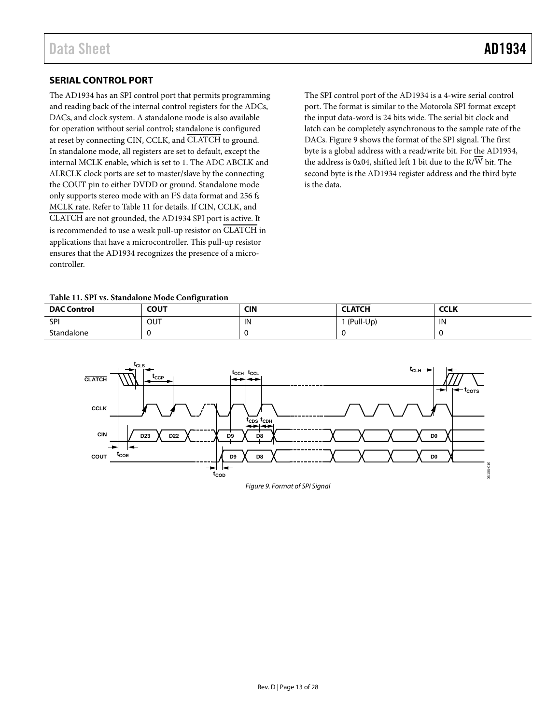#### <span id="page-12-0"></span>**SERIAL CONTROL PORT**

The AD1934 has an SPI control port that permits programming and reading back of the internal control registers for the ADCs, DACs, and clock system. A standalone mode is also available for operation without serial control; standalone is configured at reset by connecting CIN, CCLK, and CLATCH to ground. In standalone mode, all registers are set to default, except the internal MCLK enable, which is set to 1. The ADC ABCLK and ALRCLK clock ports are set to master/slave by the connecting the COUT pin to either DVDD or ground. Standalone mode only supports stereo mode with an I<sup>2</sup>S data format and 256 fs MCLK rate. Refer t[o Table 11](#page-12-2) for details. If CIN, CCLK, and CLATCH are not grounded, the AD1934 SPI port is active. It is recommended to use a weak pull-up resistor on CLATCH in applications that have a microcontroller. This pull-up resistor ensures that the AD1934 recognizes the presence of a microcontroller.

The SPI control port of the AD1934 is a 4-wire serial control port. The format is similar to the Motorola SPI format except the input data-word is 24 bits wide. The serial bit clock and latch can be completely asynchronous to the sample rate of the DACs. [Figure 9](#page-12-1) shows the format of the SPI signal. The first byte is a global address with a read/write bit. For the AD1934, the address is 0x04, shifted left 1 bit due to the R/W bit. The second byte is the AD1934 register address and the third byte is the data.

<span id="page-12-2"></span>**Table 11. SPI vs. Standalone Mode Configuration** 

| --------<br>.      |             |     |               |             |  |
|--------------------|-------------|-----|---------------|-------------|--|
| <b>DAC Control</b> | <b>COUT</b> | CIN | <b>CLATCH</b> | <b>CCLK</b> |  |
| SPI                | OUT         | IN  | (Pull-Up)     | IN          |  |
| Standalone         |             |     |               |             |  |

<span id="page-12-1"></span>

Figure 9. Format of SPI Signal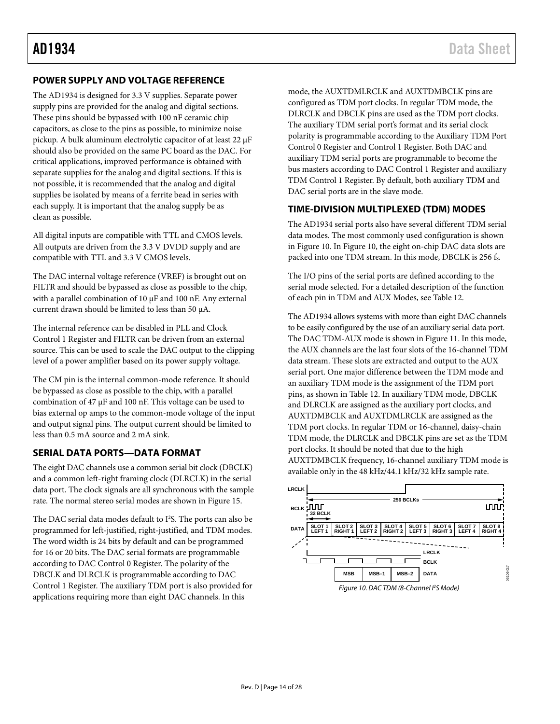#### <span id="page-13-0"></span>**POWER SUPPLY AND VOLTAGE REFERENCE**

The AD1934 is designed for 3.3 V supplies. Separate power supply pins are provided for the analog and digital sections. These pins should be bypassed with 100 nF ceramic chip capacitors, as close to the pins as possible, to minimize noise pickup. A bulk aluminum electrolytic capacitor of at least 22 μF should also be provided on the same PC board as the DAC. For critical applications, improved performance is obtained with separate supplies for the analog and digital sections. If this is not possible, it is recommended that the analog and digital supplies be isolated by means of a ferrite bead in series with each supply. It is important that the analog supply be as clean as possible.

All digital inputs are compatible with TTL and CMOS levels. All outputs are driven from the 3.3 V DVDD supply and are compatible with TTL and 3.3 V CMOS levels.

The DAC internal voltage reference (VREF) is brought out on FILTR and should be bypassed as close as possible to the chip, with a parallel combination of 10 μF and 100 nF. Any external current drawn should be limited to less than 50 μA.

The internal reference can be disabled in PLL and Clock Control 1 Register and FILTR can be driven from an external source. This can be used to scale the DAC output to the clipping level of a power amplifier based on its power supply voltage.

The CM pin is the internal common-mode reference. It should be bypassed as close as possible to the chip, with a parallel combination of 47 μF and 100 nF. This voltage can be used to bias external op amps to the common-mode voltage of the input and output signal pins. The output current should be limited to less than 0.5 mA source and 2 mA sink.

#### <span id="page-13-1"></span>**SERIAL DATA PORTS—DATA FORMAT**

The eight DAC channels use a common serial bit clock (DBCLK) and a common left-right framing clock (DLRCLK) in the serial data port. The clock signals are all synchronous with the sample rate. The normal stereo serial modes are shown in [Figure 15.](#page-16-0) 

The DAC serial data modes default to I<sup>2</sup>S. The ports can also be programmed for left-justified, right-justified, and TDM modes. The word width is 24 bits by default and can be programmed for 16 or 20 bits. The DAC serial formats are programmable according to DAC Control 0 Register. The polarity of the DBCLK and DLRCLK is programmable according to DAC Control 1 Register. The auxiliary TDM port is also provided for applications requiring more than eight DAC channels. In this

mode, the AUXTDMLRCLK and AUXTDMBCLK pins are configured as TDM port clocks. In regular TDM mode, the DLRCLK and DBCLK pins are used as the TDM port clocks. The auxiliary TDM serial port's format and its serial clock polarity is programmable according to the Auxiliary TDM Port Control 0 Register and Control 1 Register. Both DAC and auxiliary TDM serial ports are programmable to become the bus masters according to DAC Control 1 Register and auxiliary TDM Control 1 Register. By default, both auxiliary TDM and DAC serial ports are in the slave mode.

#### <span id="page-13-2"></span>**TIME-DIVISION MULTIPLEXED (TDM) MODES**

The AD1934 serial ports also have several different TDM serial data modes. The most commonly used configuration is shown in [Figure 10.](#page-13-3) I[n Figure 10,](#page-13-3) the eight on-chip DAC data slots are packed into one TDM stream. In this mode, DBCLK is 256 fs.

The I/O pins of the serial ports are defined according to the serial mode selected. For a detailed description of the function of each pin in TDM and AUX Modes, se[e Table 12.](#page-14-0) 

The AD1934 allows systems with more than eight DAC channels to be easily configured by the use of an auxiliary serial data port. The DAC TDM-AUX mode is shown i[n Figure 11.](#page-14-1) In this mode, the AUX channels are the last four slots of the 16-channel TDM data stream. These slots are extracted and output to the AUX serial port. One major difference between the TDM mode and an auxiliary TDM mode is the assignment of the TDM port pins, as shown in [Table 12.](#page-14-0) In auxiliary TDM mode, DBCLK and DLRCLK are assigned as the auxiliary port clocks, and AUXTDMBCLK and AUXTDMLRCLK are assigned as the TDM port clocks. In regular TDM or 16-channel, daisy-chain TDM mode, the DLRCLK and DBCLK pins are set as the TDM port clocks. It should be noted that due to the high AUXTDMBCLK frequency, 16-channel auxiliary TDM mode is available only in the 48 kHz/44.1 kHz/32 kHz sample rate.

<span id="page-13-3"></span>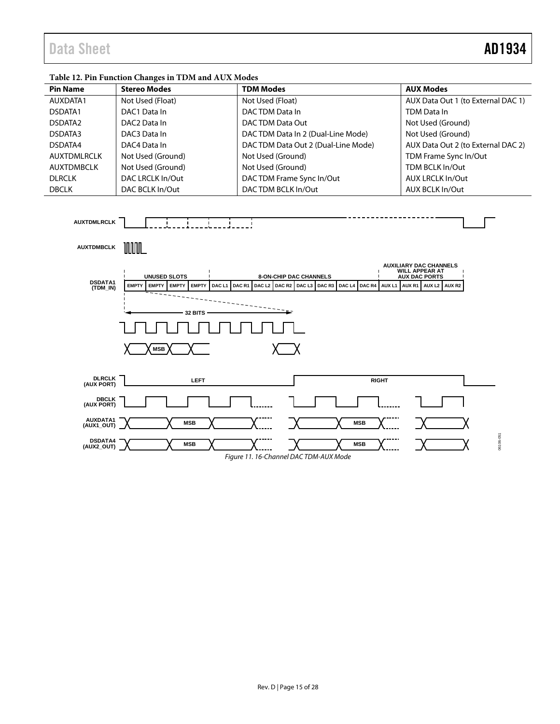## Data Sheet **AD1934**

#### <span id="page-14-0"></span>**Table 12. Pin Function Changes in TDM and AUX Modes**

| <b>Pin Name</b>     | <b>Stereo Modes</b>      | <b>TDM Modes</b>                   | <b>AUX Modes</b>                   |
|---------------------|--------------------------|------------------------------------|------------------------------------|
| AUXDATA1            | Not Used (Float)         | Not Used (Float)                   | AUX Data Out 1 (to External DAC 1) |
| DSDATA1             | DAC1 Data In             | DACTDM Data In                     | TDM Data In                        |
| DSDATA <sub>2</sub> | DAC <sub>2</sub> Data In | DAC TDM Data Out                   | Not Used (Ground)                  |
| DSDATA3             | DAC3 Data In             | DACTDM Data In 2 (Dual-Line Mode)  | Not Used (Ground)                  |
| DSDATA4             | DAC4 Data In             | DACTDM Data Out 2 (Dual-Line Mode) | AUX Data Out 2 (to External DAC 2) |
| AUXTDMLRCLK         | Not Used (Ground)        | Not Used (Ground)                  | TDM Frame Sync In/Out              |
| AUXTDMBCLK          | Not Used (Ground)        | Not Used (Ground)                  | TDM BCLK In/Out                    |
| <b>DLRCLK</b>       | DAC LRCLK In/Out         | DAC TDM Frame Sync In/Out          | <b>AUX LRCLK In/Out</b>            |
| <b>DBCLK</b>        | DAC BCLK In/Out          | DACTDM BCLK In/Out                 | AUX BCLK In/Out                    |

<span id="page-14-1"></span>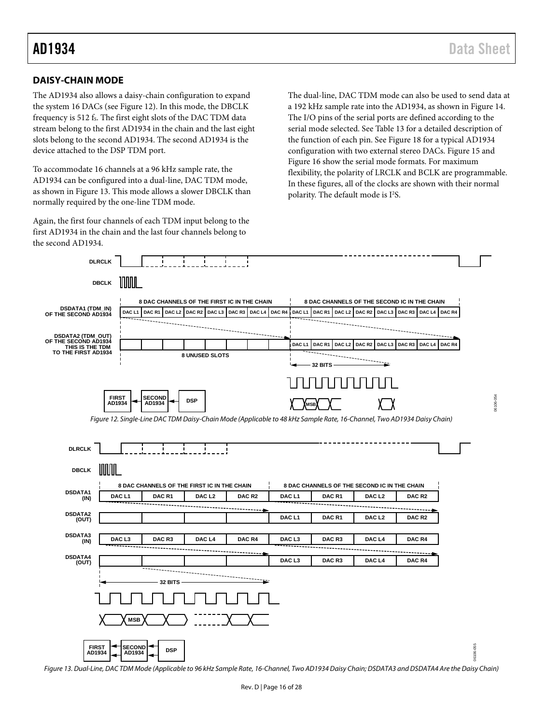#### <span id="page-15-0"></span>**DAISY-CHAIN MODE**

The AD1934 also allows a daisy-chain configuration to expand the system 16 DACs (se[e Figure 12\)](#page-15-1). In this mode, the DBCLK frequency is 512 fs. The first eight slots of the DAC TDM data stream belong to the first AD1934 in the chain and the last eight slots belong to the second AD1934. The second AD1934 is the device attached to the DSP TDM port.

To accommodate 16 channels at a 96 kHz sample rate, the AD1934 can be configured into a dual-line, DAC TDM mode, as shown i[n Figure 13.](#page-15-2) This mode allows a slower DBCLK than normally required by the one-line TDM mode.

Again, the first four channels of each TDM input belong to the first AD1934 in the chain and the last four channels belong to the second AD1934.

The dual-line, DAC TDM mode can also be used to send data at a 192 kHz sample rate into the AD1934, as shown in [Figure 14.](#page-16-1)  The I/O pins of the serial ports are defined according to the serial mode selected. Se[e Table 13](#page-18-0) for a detailed description of the function of each pin. See [Figure 18 f](#page-18-1)or a typical AD1934 configuration with two external stereo DACs[. Figure 15 a](#page-16-0)nd [Figure 16 s](#page-17-0)how the serial mode formats. For maximum flexibility, the polarity of LRCLK and BCLK are programmable. In these figures, all of the clocks are shown with their normal polarity. The default mode is I<sup>2</sup>S.

<span id="page-15-1"></span>

<span id="page-15-2"></span>Figure 13. Dual-Line, DAC TDM Mode (Applicable to 96 kHz Sample Rate, 16-Channel, Two AD1934 Daisy Chain; DSDATA3 and DSDATA4 Are the Daisy Chain)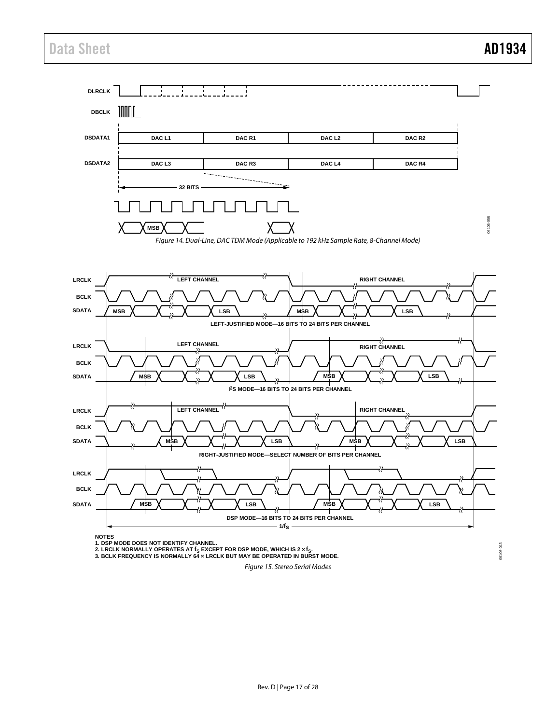### Data Sheet **AD1934**

<span id="page-16-1"></span>

<span id="page-16-0"></span>Figure 15. Stereo Serial Modes

06106-013 06106-013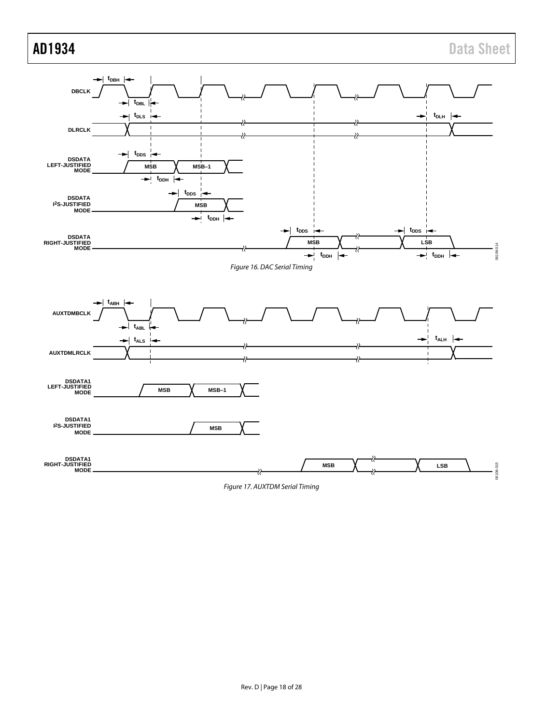<span id="page-17-0"></span>

<span id="page-17-1"></span>Figure 17. AUXTDM Serial Timing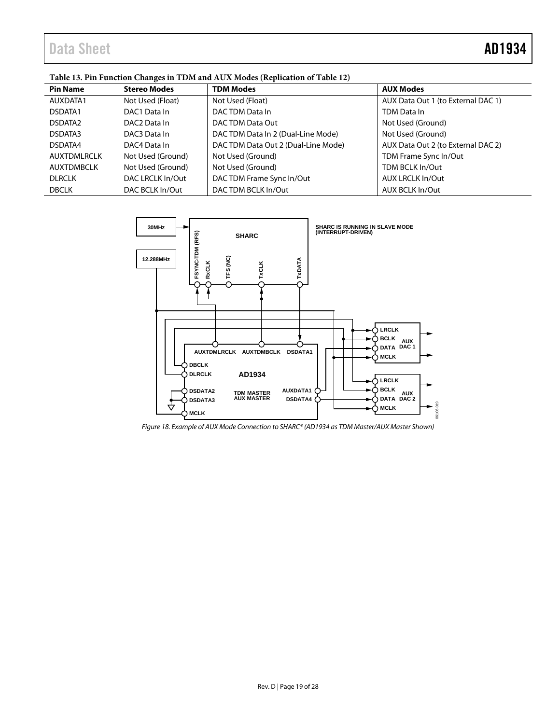|                     | $1.001$ is the mass of the construction of $\sim 1.001$ . The mass $1.001$ is the construction of $1.001$ |                                     |                                    |  |  |  |
|---------------------|-----------------------------------------------------------------------------------------------------------|-------------------------------------|------------------------------------|--|--|--|
| <b>Pin Name</b>     | <b>Stereo Modes</b>                                                                                       | <b>TDM Modes</b>                    | <b>AUX Modes</b>                   |  |  |  |
| AUXDATA1            | Not Used (Float)                                                                                          | Not Used (Float)                    | AUX Data Out 1 (to External DAC 1) |  |  |  |
| DSDATA1             | DAC1 Data In                                                                                              | DAC TDM Data In                     | TDM Data In                        |  |  |  |
| DSDATA <sub>2</sub> | DAC <sub>2</sub> Data In                                                                                  | DAC TDM Data Out                    | Not Used (Ground)                  |  |  |  |
| DSDATA3             | DAC3 Data In                                                                                              | DAC TDM Data In 2 (Dual-Line Mode)  | Not Used (Ground)                  |  |  |  |
| DSDATA4             | DAC4 Data In                                                                                              | DAC TDM Data Out 2 (Dual-Line Mode) | AUX Data Out 2 (to External DAC 2) |  |  |  |
| AUXTDMLRCLK         | Not Used (Ground)                                                                                         | Not Used (Ground)                   | TDM Frame Sync In/Out              |  |  |  |
| AUXTDMBCLK          | Not Used (Ground)                                                                                         | Not Used (Ground)                   | TDM BCLK In/Out                    |  |  |  |
| <b>DLRCLK</b>       | DAC LRCLK In/Out                                                                                          | DAC TDM Frame Sync In/Out           | AUX LRCLK In/Out                   |  |  |  |
| <b>DBCLK</b>        | DAC BCLK In/Out                                                                                           | DACTDM BCLK In/Out                  | AUX BCLK In/Out                    |  |  |  |

#### <span id="page-18-0"></span>**Table 13. Pin Function Changes in TDM and AUX Modes (Replication of [Table 12\)](#page-14-0)**



<span id="page-18-1"></span>*Figure 18. Example of AUX Mode Connection to SHARC® (AD1934 as TDM Master/AUX Master Shown)*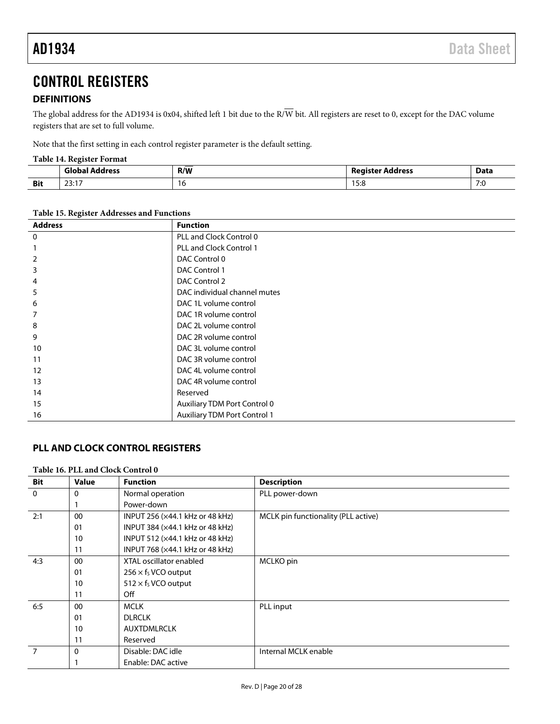### <span id="page-19-0"></span>CONTROL REGISTERS

#### <span id="page-19-1"></span>**DEFINITIONS**

The global address for the AD1934 is 0x04, shifted left 1 bit due to the R/W bit. All registers are reset to 0, except for the DAC volume registers that are set to full volume.

Note that the first setting in each control register parameter is the default setting.

#### **Table 14. Register Format**

|            | 'sloba'<br>Iress  | _<br>R/W | <b>Register Address</b> | Data             |
|------------|-------------------|----------|-------------------------|------------------|
| <b>Bit</b> | 22.47<br><u>.</u> | טו       | c.c<br>0.د ا<br>.       | -<br>7.1<br>ن. ر |

**Table 15. Register Addresses and Functions**

| <b>Address</b> | <b>Function</b>                     |
|----------------|-------------------------------------|
| 0              | PLL and Clock Control 0             |
|                | <b>PLL and Clock Control 1</b>      |
| 2              | DAC Control 0                       |
| 3              | DAC Control 1                       |
| 4              | DAC Control 2                       |
| 5              | DAC individual channel mutes        |
| 6              | DAC 1L volume control               |
|                | DAC 1R volume control               |
| 8              | DAC 2L volume control               |
| 9              | DAC 2R volume control               |
| 10             | DAC 3L volume control               |
| 11             | DAC 3R volume control               |
| 12             | DAC 4L volume control               |
| 13             | DAC 4R volume control               |
| 14             | Reserved                            |
| 15             | Auxiliary TDM Port Control 0        |
| 16             | <b>Auxiliary TDM Port Control 1</b> |

#### <span id="page-19-2"></span>**PLL AND CLOCK CONTROL REGISTERS**

#### **Table 16. PLL and Clock Control 0**

| <b>Bit</b>     | <b>Value</b> | <b>Function</b>                 | <b>Description</b>                  |
|----------------|--------------|---------------------------------|-------------------------------------|
| $\mathbf 0$    | 0            | Normal operation                | PLL power-down                      |
|                |              | Power-down                      |                                     |
| 2:1            | 00           | INPUT 256 (×44.1 kHz or 48 kHz) | MCLK pin functionality (PLL active) |
|                | 01           | INPUT 384 (×44.1 kHz or 48 kHz) |                                     |
|                | 10           | INPUT 512 (×44.1 kHz or 48 kHz) |                                     |
|                | 11           | INPUT 768 (×44.1 kHz or 48 kHz) |                                     |
| 4:3            | 00           | XTAL oscillator enabled         | MCLKO pin                           |
|                | 01           | $256 \times f_S$ VCO output     |                                     |
|                | 10           | $512 \times f_S$ VCO output     |                                     |
|                | 11           | Off                             |                                     |
| 6:5            | 00           | <b>MCLK</b>                     | PLL input                           |
|                | 01           | <b>DLRCLK</b>                   |                                     |
|                | 10           | <b>AUXTDMLRCLK</b>              |                                     |
|                | 11           | Reserved                        |                                     |
| $\overline{7}$ | $\Omega$     | Disable: DAC idle               | Internal MCLK enable                |
|                |              | Enable: DAC active              |                                     |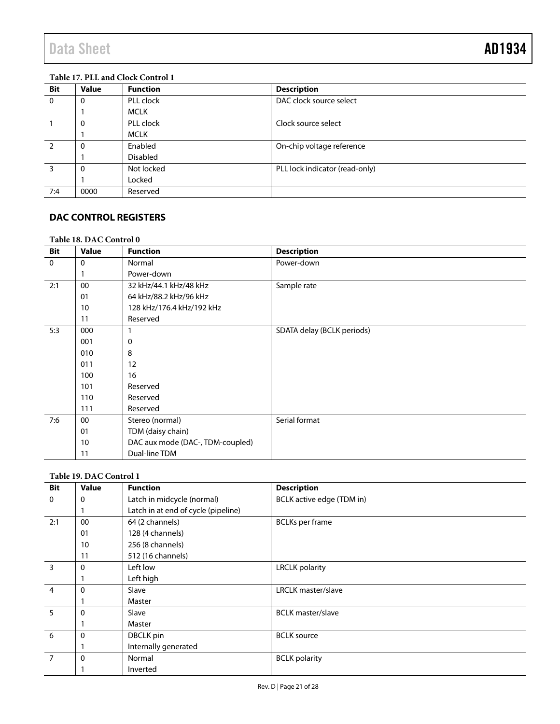#### **Table 17. PLL and Clock Control 1**

| <b>Bit</b>     | <b>Value</b> | <b>Function</b> | <b>Description</b>             |
|----------------|--------------|-----------------|--------------------------------|
| $\overline{0}$ | 0            | PLL clock       | DAC clock source select        |
|                |              | MCLK            |                                |
|                | 0            | PLL clock       | Clock source select            |
|                |              | MCLK            |                                |
|                | 0            | Enabled         | On-chip voltage reference      |
|                |              | <b>Disabled</b> |                                |
| 3              | $\Omega$     | Not locked      | PLL lock indicator (read-only) |
|                |              | Locked          |                                |
| 7:4            | 0000         | Reserved        |                                |

### <span id="page-20-0"></span>**DAC CONTROL REGISTERS**

#### **Table 18. DAC Control 0**

| <b>Bit</b>  | <b>Value</b> | <b>Function</b>                  | <b>Description</b>         |
|-------------|--------------|----------------------------------|----------------------------|
| $\mathbf 0$ | 0            | Normal                           | Power-down                 |
|             |              | Power-down                       |                            |
| 2:1         | 00           | 32 kHz/44.1 kHz/48 kHz           | Sample rate                |
|             | 01           | 64 kHz/88.2 kHz/96 kHz           |                            |
|             | 10           | 128 kHz/176.4 kHz/192 kHz        |                            |
|             | 11           | Reserved                         |                            |
| 5:3         | 000          |                                  | SDATA delay (BCLK periods) |
|             | 001          | 0                                |                            |
|             | 010          | 8                                |                            |
|             | 011          | 12                               |                            |
|             | 100          | 16                               |                            |
|             | 101          | Reserved                         |                            |
|             | 110          | Reserved                         |                            |
|             | 111          | Reserved                         |                            |
| 7:6         | 00           | Stereo (normal)                  | Serial format              |
|             | 01           | TDM (daisy chain)                |                            |
|             | 10           | DAC aux mode (DAC-, TDM-coupled) |                            |
|             | 11           | Dual-line TDM                    |                            |

#### **Table 19. DAC Control 1**

| Bit                     | <b>Value</b> | <b>Function</b>                     | <b>Description</b>        |
|-------------------------|--------------|-------------------------------------|---------------------------|
| $\mathbf 0$             | 0            | Latch in midcycle (normal)          | BCLK active edge (TDM in) |
|                         |              | Latch in at end of cycle (pipeline) |                           |
| 2:1                     | 00           | 64 (2 channels)                     | <b>BCLKs</b> per frame    |
|                         | 01           | 128 (4 channels)                    |                           |
|                         | 10           | 256 (8 channels)                    |                           |
|                         | 11           | 512 (16 channels)                   |                           |
| $\overline{\mathbf{3}}$ | 0            | Left low                            | <b>LRCLK</b> polarity     |
|                         |              | Left high                           |                           |
| $\overline{4}$          | 0            | Slave                               | <b>LRCLK</b> master/slave |
|                         |              | Master                              |                           |
| $5\overline{5}$         | 0            | Slave                               | <b>BCLK</b> master/slave  |
|                         |              | Master                              |                           |
| 6                       | 0            | DBCLK pin                           | <b>BCLK</b> source        |
|                         |              | Internally generated                |                           |
| $\overline{7}$          | $\mathbf 0$  | Normal                              | <b>BCLK</b> polarity      |
|                         |              | Inverted                            |                           |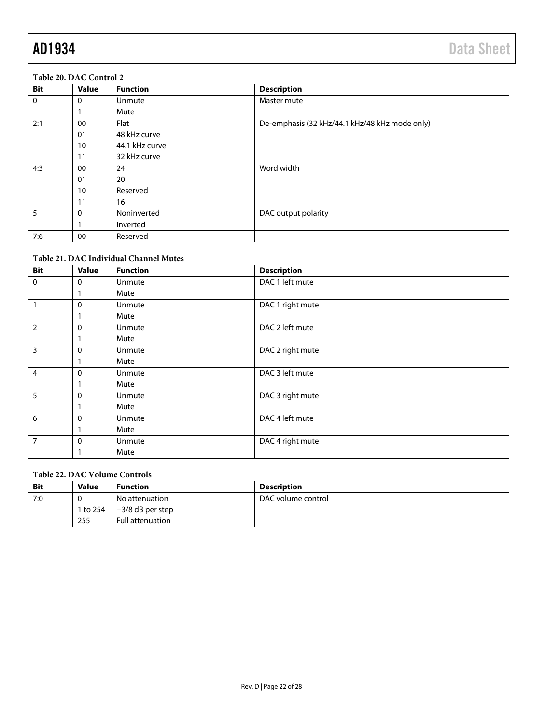#### **Table 20. DAC Control 2**

| <b>Bit</b>  | <b>Value</b> | <b>Function</b> | <b>Description</b>                             |
|-------------|--------------|-----------------|------------------------------------------------|
| $\mathbf 0$ | 0            | Unmute          | Master mute                                    |
|             |              | Mute            |                                                |
| 2:1         | 00           | Flat            | De-emphasis (32 kHz/44.1 kHz/48 kHz mode only) |
|             | 01           | 48 kHz curve    |                                                |
|             | 10           | 44.1 kHz curve  |                                                |
|             | 11           | 32 kHz curve    |                                                |
| 4:3         | 00           | 24              | Word width                                     |
|             | 01           | 20              |                                                |
|             | 10           | Reserved        |                                                |
|             | 11           | 16              |                                                |
| 5           | $\Omega$     | Noninverted     | DAC output polarity                            |
|             |              | Inverted        |                                                |
| 7:6         | 00           | Reserved        |                                                |

#### **Table 21. DAC Individual Channel Mutes**

| <b>Bit</b>              | <b>Value</b> | <b>Function</b> | <b>Description</b> |
|-------------------------|--------------|-----------------|--------------------|
| $\mathbf 0$             | 0            | <b>Unmute</b>   | DAC 1 left mute    |
|                         |              | Mute            |                    |
|                         | 0            | <b>Unmute</b>   | DAC 1 right mute   |
|                         |              | Mute            |                    |
| $\overline{2}$          | 0            | Unmute          | DAC 2 left mute    |
|                         |              | Mute            |                    |
| $\overline{\mathbf{3}}$ | 0            | Unmute          | DAC 2 right mute   |
|                         |              | Mute            |                    |
| $\overline{4}$          | 0            | Unmute          | DAC 3 left mute    |
|                         |              | Mute            |                    |
| 5                       | 0            | Unmute          | DAC 3 right mute   |
|                         |              | Mute            |                    |
| 6                       | 0            | Unmute          | DAC 4 left mute    |
|                         |              | Mute            |                    |
| $\overline{7}$          | 0            | Unmute          | DAC 4 right mute   |
|                         |              | Mute            |                    |

#### **Table 22. DAC Volume Controls**

| <b>Bit</b> | <b>Value</b> | <b>Function</b>         | <b>Description</b> |
|------------|--------------|-------------------------|--------------------|
| 7:0        |              | No attenuation          | DAC volume control |
|            | 1 to 254     | $-3/8$ dB per step      |                    |
|            | 255          | <b>Full attenuation</b> |                    |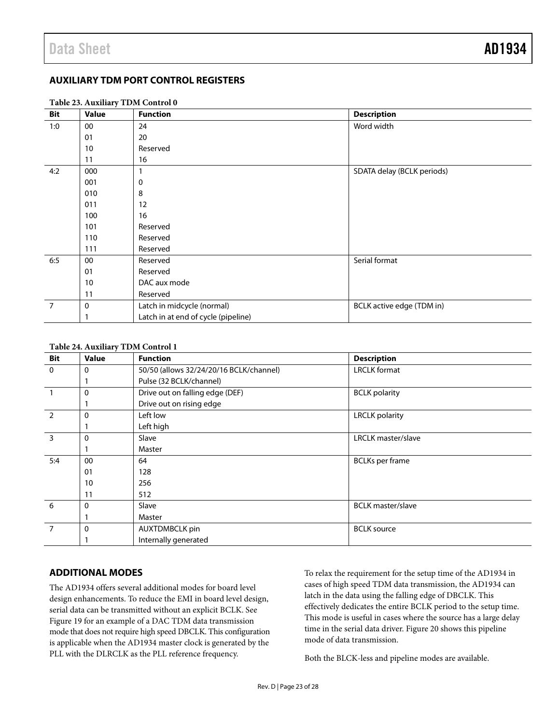#### <span id="page-22-0"></span>**AUXILIARY TDM PORT CONTROL REGISTERS**

|                | Table 23. Auxiliary TDM Control 0 |                                     |                            |  |
|----------------|-----------------------------------|-------------------------------------|----------------------------|--|
| Bit            | Value                             | <b>Function</b>                     | <b>Description</b>         |  |
| 1:0            | 00                                | 24                                  | Word width                 |  |
|                | 01                                | 20                                  |                            |  |
|                | 10                                | Reserved                            |                            |  |
|                | 11                                | 16                                  |                            |  |
| 4:2            | 000                               |                                     | SDATA delay (BCLK periods) |  |
|                | 001                               | 0                                   |                            |  |
|                | 010                               | 8                                   |                            |  |
|                | 011                               | 12                                  |                            |  |
|                | 100                               | 16                                  |                            |  |
|                | 101                               | Reserved                            |                            |  |
|                | 110                               | Reserved                            |                            |  |
|                | 111                               | Reserved                            |                            |  |
| 6:5            | 00                                | Reserved                            | Serial format              |  |
|                | 01                                | Reserved                            |                            |  |
|                | 10                                | DAC aux mode                        |                            |  |
|                | 11                                | Reserved                            |                            |  |
| $\overline{7}$ | 0                                 | Latch in midcycle (normal)          | BCLK active edge (TDM in)  |  |
|                |                                   | Latch in at end of cycle (pipeline) |                            |  |

#### **Table 24. Auxiliary TDM Control 1**

|                | Table 24. Auxiliary TDM Control 1 |                                         |                           |  |  |
|----------------|-----------------------------------|-----------------------------------------|---------------------------|--|--|
| <b>Bit</b>     | <b>Value</b>                      | <b>Function</b>                         | <b>Description</b>        |  |  |
| $\mathbf{0}$   | 0                                 | 50/50 (allows 32/24/20/16 BCLK/channel) | <b>LRCLK</b> format       |  |  |
|                |                                   | Pulse (32 BCLK/channel)                 |                           |  |  |
|                | $\Omega$                          | Drive out on falling edge (DEF)         | <b>BCLK</b> polarity      |  |  |
|                |                                   | Drive out on rising edge                |                           |  |  |
| $\overline{2}$ | $\Omega$                          | Left low                                | <b>LRCLK</b> polarity     |  |  |
|                |                                   | Left high                               |                           |  |  |
| $\overline{3}$ | $\Omega$                          | Slave                                   | <b>LRCLK</b> master/slave |  |  |
|                |                                   | Master                                  |                           |  |  |
| 5:4            | 00                                | 64                                      | <b>BCLKs</b> per frame    |  |  |
|                | 01                                | 128                                     |                           |  |  |
|                | 10                                | 256                                     |                           |  |  |
|                | 11                                | 512                                     |                           |  |  |
| 6              | $\Omega$                          | Slave                                   | <b>BCLK</b> master/slave  |  |  |
|                |                                   | Master                                  |                           |  |  |
| $\overline{7}$ | 0                                 | <b>AUXTDMBCLK pin</b>                   | <b>BCLK</b> source        |  |  |
|                |                                   | Internally generated                    |                           |  |  |

#### <span id="page-22-1"></span>**ADDITIONAL MODES**

The AD1934 offers several additional modes for board level design enhancements. To reduce the EMI in board level design, serial data can be transmitted without an explicit BCLK. See [Figure 19](#page-23-0) for an example of a DAC TDM data transmission mode that does not require high speed DBCLK. This configuration is applicable when the AD1934 master clock is generated by the PLL with the DLRCLK as the PLL reference frequency.

To relax the requirement for the setup time of the AD1934 in cases of high speed TDM data transmission, the AD1934 can latch in the data using the falling edge of DBCLK. This effectively dedicates the entire BCLK period to the setup time. This mode is useful in cases where the source has a large delay time in the serial data driver. [Figure 20 s](#page-23-1)hows this pipeline mode of data transmission.

Both the BLCK-less and pipeline modes are available.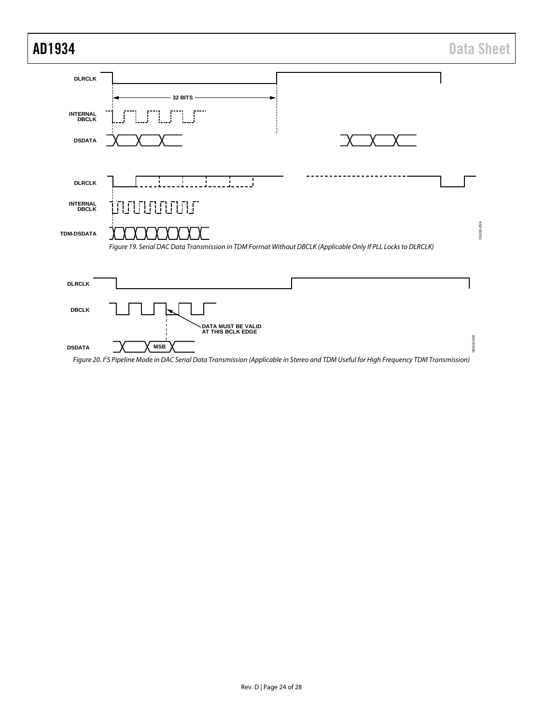<span id="page-23-1"></span><span id="page-23-0"></span>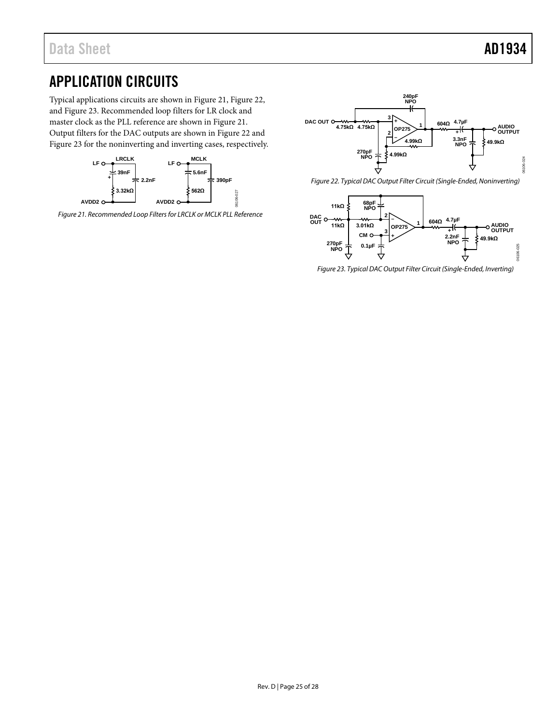## <span id="page-24-0"></span>APPLICATION CIRCUITS

Typical applications circuits are shown in [Figure 21,](#page-24-1) [Figure 22,](#page-24-2)  an[d Figure 23.](#page-24-3) Recommended loop filters for LR clock and master clock as the PLL reference are shown i[n Figure 21.](#page-24-1)  Output filters for the DAC outputs are shown i[n Figure 22](#page-24-2) and [Figure 23](#page-24-3) for the noninverting and inverting cases, respectively.



<span id="page-24-1"></span>*Figure 21. Recommended Loop Filters for LRCLK or MCLK PLL Reference*



<span id="page-24-2"></span>*Figure 22. Typical DAC Output Filter Circuit (Single-Ended, Noninverting)*



<span id="page-24-3"></span>*Figure 23. Typical DAC Output Filter Circuit (Single-Ended, Inverting)*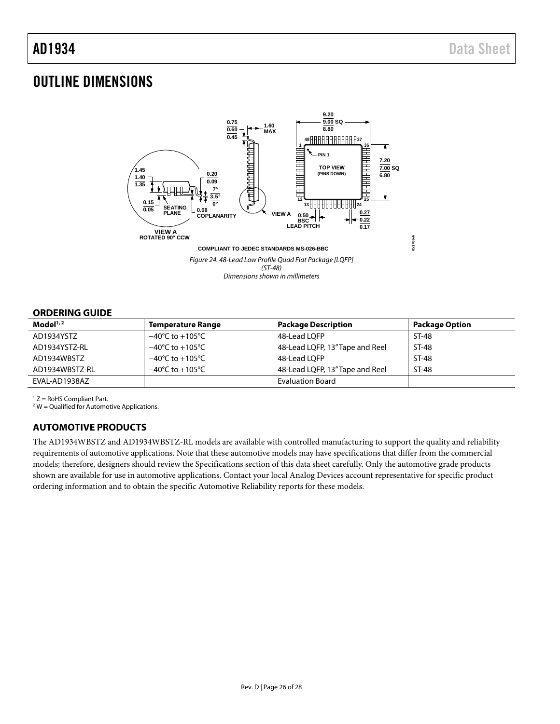### <span id="page-25-0"></span>OUTLINE DIMENSIONS



### <span id="page-25-1"></span>**ORDERING GUIDE**

| Model <sup>1,2</sup> | <b>Temperature Range</b>            | <b>Package Description</b>      | <b>Package Option</b> |
|----------------------|-------------------------------------|---------------------------------|-----------------------|
| AD1934YSTZ           | $-40^{\circ}$ C to $+105^{\circ}$ C | 48-Lead LOFP                    | ST-48                 |
| AD1934YSTZ-RL        | $-40^{\circ}$ C to $+105^{\circ}$ C | 48-Lead LQFP, 13" Tape and Reel | ST-48                 |
| AD1934WBSTZ          | $-40^{\circ}$ C to $+105^{\circ}$ C | 48-Lead LOFP                    | ST-48                 |
| AD1934WBSTZ-RL       | $-40^{\circ}$ C to $+105^{\circ}$ C | 48-Lead LQFP, 13" Tape and Reel | ST-48                 |
| EVAL-AD1938AZ        |                                     | <b>Evaluation Board</b>         |                       |

 $1 Z =$  RoHS Compliant Part.

<span id="page-25-2"></span> $2$  W = Qualified for Automotive Applications.

#### **AUTOMOTIVE PRODUCTS**

The AD1934WBSTZ and AD1934WBSTZ-RL models are available with controlled manufacturing to support the quality and reliability requirements of automotive applications. Note that these automotive models may have specifications that differ from the commercial models; therefore, designers should review the [Specifications](#page-2-4) section of this data sheet carefully. Only the automotive grade products shown are available for use in automotive applications. Contact your local Analog Devices account representative for specific product ordering information and to obtain the specific Automotive Reliability reports for these models.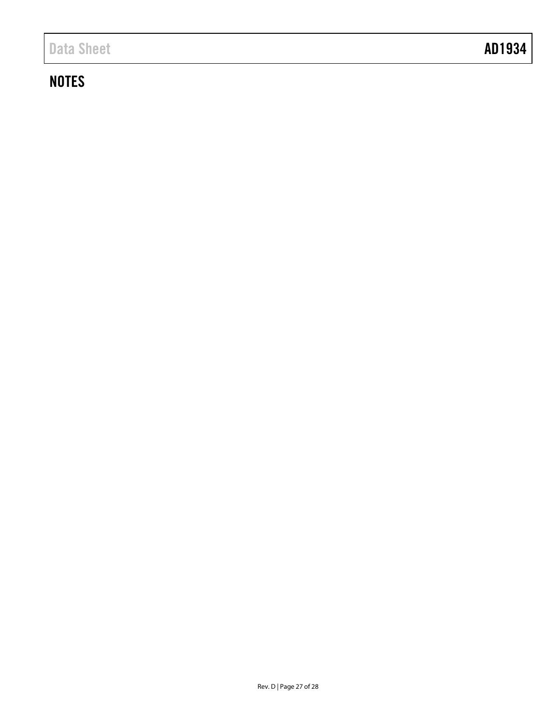# **NOTES**